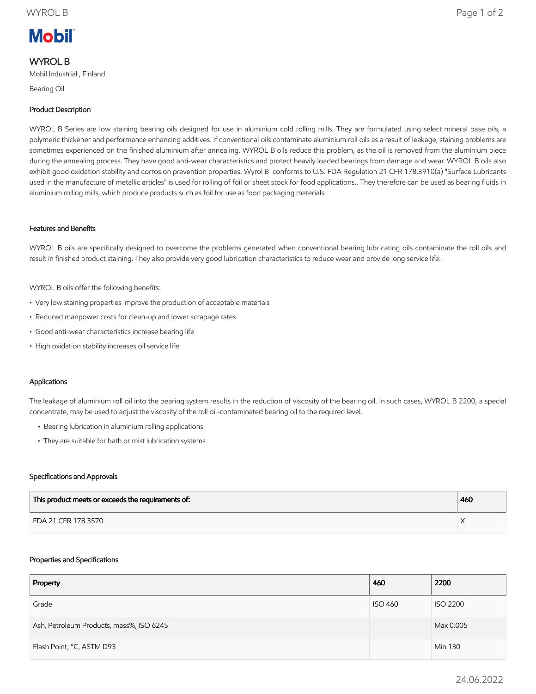# **Mobil**

# WYROL B

Mobil Industrial , Finland

Bearing Oil

# Product Description

WYROL B Series are low staining bearing oils designed for use in aluminium cold rolling mills. They are formulated using select mineral base oils, a polymeric thickener and performance enhancing additives. If conventional oils contaminate aluminium roll oils as a result of leakage, staining problems are sometimes experienced on the finished aluminium after annealing. WYROL B oils reduce this problem, as the oil is removed from the aluminium piece during the annealing process. They have good anti-wear characteristics and protect heavily loaded bearings from damage and wear. WYROL B oils also exhibit good oxidation stability and corrosion prevention properties. Wyrol B conforms to U.S. FDA Regulation 21 CFR 178.3910(a) "Surface Lubricants used in the manufacture of metallic articles" is used for rolling of foil or sheet stock for food applications.. They therefore can be used as bearing fluids in aluminium rolling mills, which produce products such as foil for use as food packaging materials.

## Features and Benefits

WYROL B oils are specifically designed to overcome the problems generated when conventional bearing lubricating oils contaminate the roll oils and result in finished product staining. They also provide very good lubrication characteristics to reduce wear and provide long service life.

WYROL B oils offer the following benefits:

- Very low staining properties improve the production of acceptable materials
- Reduced manpower costs for clean-up and lower scrapage rates
- Good anti-wear characteristics increase bearing life
- High oxidation stability increases oil service life

## Applications

The leakage of aluminium roll oil into the bearing system results in the reduction of viscosity of the bearing oil. In such cases, WYROL B 2200, a special concentrate, may be used to adjust the viscosity of the roll oil-contaminated bearing oil to the required level.

- Bearing lubrication in aluminium rolling applications
- They are suitable for bath or mist lubrication systems

#### Specifications and Approvals

| This product meets or exceeds the requirements of: | 460 |
|----------------------------------------------------|-----|
| FDA 21 CFR 178.3570                                |     |

#### Properties and Specifications

| Property                                 | 460            | 2200            |
|------------------------------------------|----------------|-----------------|
| Grade                                    | <b>ISO 460</b> | <b>ISO 2200</b> |
| Ash, Petroleum Products, mass%, ISO 6245 |                | Max 0.005       |
| Flash Point, °C, ASTM D93                |                | Min 130         |